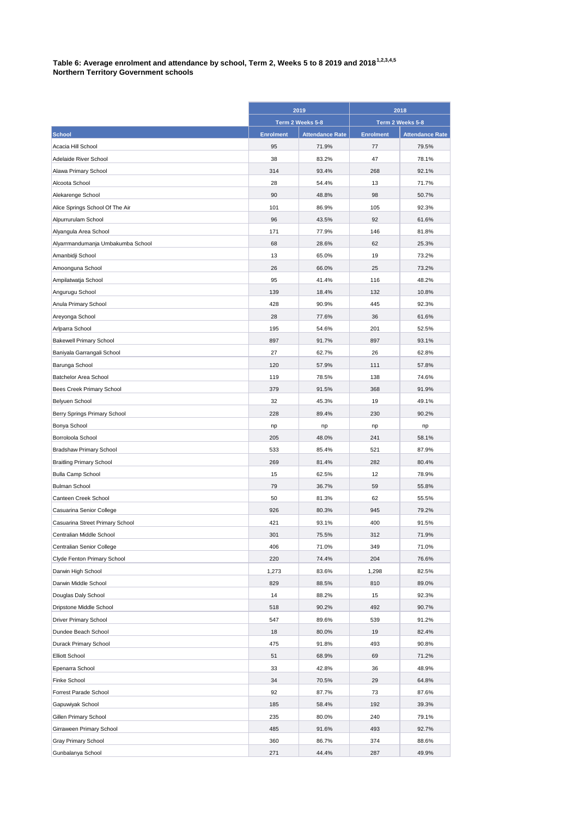## **Table 6: Average enrolment and attendance by school, Term 2, Weeks 5 to 8 2019 and 20181,2,3,4,5 Northern Territory Government schools**

|                                   | 2019<br>Term 2 Weeks 5-8 |                        | 2018<br>Term 2 Weeks 5-8 |                        |
|-----------------------------------|--------------------------|------------------------|--------------------------|------------------------|
|                                   |                          |                        |                          |                        |
| <b>School</b>                     | <b>Enrolment</b>         | <b>Attendance Rate</b> | <b>Enrolment</b>         | <b>Attendance Rate</b> |
| Acacia Hill School                | 95                       | 71.9%                  | 77                       | 79.5%                  |
| Adelaide River School             | 38                       | 83.2%                  | 47                       | 78.1%                  |
| Alawa Primary School              | 314                      | 93.4%                  | 268                      | 92.1%                  |
| Alcoota School                    | 28                       | 54.4%                  | 13                       | 71.7%                  |
| Alekarenge School                 | 90                       | 48.8%                  | 98                       | 50.7%                  |
| Alice Springs School Of The Air   | 101                      | 86.9%                  | 105                      | 92.3%                  |
| Alpurrurulam School               | 96                       | 43.5%                  | 92                       | 61.6%                  |
| Alyangula Area School             | 171                      | 77.9%                  | 146                      | 81.8%                  |
| Alyarrmandumanja Umbakumba School | 68                       | 28.6%                  | 62                       | 25.3%                  |
| Amanbidji School                  | 13                       | 65.0%                  | 19                       | 73.2%                  |
| Amoonguna School                  | 26                       | 66.0%                  | 25                       | 73.2%                  |
| Ampilatwatja School               | 95                       | 41.4%                  | 116                      | 48.2%                  |
| Angurugu School                   | 139                      | 18.4%                  | 132                      | 10.8%                  |
| Anula Primary School              | 428                      | 90.9%                  | 445                      | 92.3%                  |
| Areyonga School                   | 28                       | 77.6%                  | 36                       | 61.6%                  |
| Arlparra School                   | 195                      | 54.6%                  | 201                      | 52.5%                  |
| <b>Bakewell Primary School</b>    | 897                      | 91.7%                  | 897                      | 93.1%                  |
| Baniyala Garrangali School        | 27                       | 62.7%                  | 26                       | 62.8%                  |
| Barunga School                    | 120                      | 57.9%                  | 111                      | 57.8%                  |
| Batchelor Area School             | 119                      | 78.5%                  | 138                      | 74.6%                  |
| Bees Creek Primary School         | 379                      | 91.5%                  | 368                      | 91.9%                  |
| Belyuen School                    | 32                       | 45.3%                  | 19                       | 49.1%                  |
| Berry Springs Primary School      | 228                      | 89.4%                  | 230                      | 90.2%                  |
| Bonya School                      | np                       | np                     | np                       | np                     |
| Borroloola School                 | 205                      | 48.0%                  | 241                      | 58.1%                  |
| <b>Bradshaw Primary School</b>    | 533                      | 85.4%                  | 521                      | 87.9%                  |
| <b>Braitling Primary School</b>   | 269                      | 81.4%                  | 282                      | 80.4%                  |
| <b>Bulla Camp School</b>          | 15                       | 62.5%                  | 12                       | 78.9%                  |
| <b>Bulman School</b>              | 79                       | 36.7%                  | 59                       | 55.8%                  |
| Canteen Creek School              | 50                       | 81.3%                  | 62                       | 55.5%                  |
| Casuarina Senior College          | 926                      | 80.3%                  | 945                      | 79.2%                  |
| Casuarina Street Primary School   | 421                      | 93.1%                  | 400                      | 91.5%                  |
| Centralian Middle School          | 301                      | 75.5%                  | 312                      | 71.9%                  |
| Centralian Senior College         | 406                      | 71.0%                  | 349                      | 71.0%                  |
| Clyde Fenton Primary School       | 220                      | 74.4%                  | 204                      | 76.6%                  |
| Darwin High School                | 1,273                    | 83.6%                  | 1,298                    | 82.5%                  |
| Darwin Middle School              | 829                      | 88.5%                  | 810                      | 89.0%                  |
| Douglas Daly School               | 14                       | 88.2%                  | 15                       | 92.3%                  |
| Dripstone Middle School           | 518                      | 90.2%                  | 492                      | 90.7%                  |
| <b>Driver Primary School</b>      | 547                      | 89.6%                  | 539                      | 91.2%                  |
| Dundee Beach School               | 18                       | 80.0%                  | 19                       | 82.4%                  |
| Durack Primary School             | 475                      | 91.8%                  | 493                      | 90.8%                  |
| <b>Elliott School</b>             | 51                       | 68.9%                  | 69                       | 71.2%                  |
| Epenarra School                   | 33                       | 42.8%                  | 36                       | 48.9%                  |
| Finke School                      | 34                       | 70.5%                  | 29                       | 64.8%                  |
| Forrest Parade School             | 92                       | 87.7%                  | 73                       | 87.6%                  |
| Gapuwiyak School                  | 185                      | 58.4%                  | 192                      | 39.3%                  |
| Gillen Primary School             | 235                      | 80.0%                  | 240                      | 79.1%                  |
| Girraween Primary School          | 485                      | 91.6%                  | 493                      | 92.7%                  |
| Gray Primary School               | 360                      | 86.7%                  | 374                      | 88.6%                  |
| Gunbalanya School                 | 271                      | 44.4%                  | 287                      | 49.9%                  |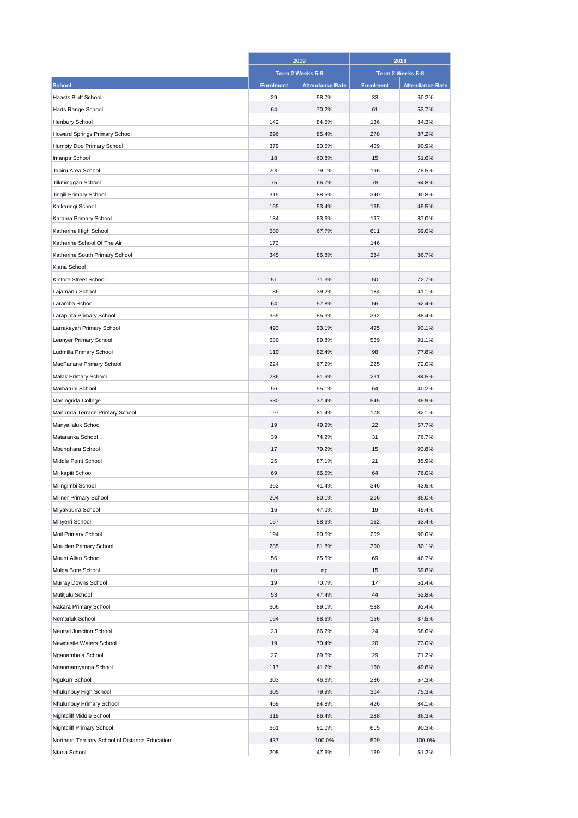|                                                 | 2019             |                        | 2018             |                        |
|-------------------------------------------------|------------------|------------------------|------------------|------------------------|
|                                                 | Term 2 Weeks 5-8 |                        | Term 2 Weeks 5-8 |                        |
| <b>School</b>                                   | <b>Enrolment</b> | <b>Attendance Rate</b> | <b>Enrolment</b> | <b>Attendance Rate</b> |
| <b>Haasts Bluff School</b>                      | 29               | 58.7%                  | 33               | 60.2%                  |
| Harts Range School                              | 64               | 70.2%                  | 61               | 53.7%                  |
| Henbury School                                  | 142              | 84.5%                  | 136              | 84.3%                  |
| Howard Springs Primary School                   | 296              | 85.4%                  | 278              | 87.2%                  |
| Humpty Doo Primary School                       | 379              | 90.5%                  | 409              | 90.9%                  |
| Imanpa School                                   | 18               | 60.8%                  | 15               | 51.6%                  |
| Jabiru Area School                              | 200              | 79.1%                  | 196              | 78.5%                  |
| Jilkminggan School                              | 75               | 66.7%                  | 78               | 64.8%                  |
| Jingili Primary School                          | 315              | 88.5%                  | 340              | 90.8%                  |
| Kalkaringi School                               | 165              | 53.4%                  | 165              | 49.5%                  |
| Karama Primary School                           | 184              | 83.6%                  | 197              | 87.0%                  |
| Katherine High School                           | 580              | 67.7%                  | 611              | 59.0%                  |
| Katherine School Of The Air                     | 173              |                        | 146              |                        |
| Katherine South Primary School                  | 345              | 86.8%                  | 384              | 86.7%                  |
| Kiana School                                    |                  |                        |                  |                        |
| Kintore Street School                           | 51               | 71.3%                  | 50               | 72.7%                  |
| Lajamanu School                                 | 186              | 39.2%                  | 184              | 41.1%                  |
| Laramba School                                  | 64               | 57.8%                  | 56               | 62.4%                  |
| Larapinta Primary School                        | 355              | 85.3%                  | 392              | 88.4%                  |
| Larrakeyah Primary School                       | 493              | 93.1%                  | 495              | 93.1%                  |
| Leanyer Primary School                          | 580              | 89.8%                  | 569              | 91.1%                  |
| Ludmilla Primary School                         | 110              | 82.4%                  | 98               | 77.8%                  |
| MacFarlane Primary School                       | 224              | 67.2%                  | 225              | 72.0%                  |
| Malak Primary School                            | 236              | 81.9%                  | 231              | 84.5%                  |
| Mamaruni School                                 | 56               | 55.1%                  | 64               | 40.2%                  |
| Maningrida College                              | 530              | 37.4%                  | 545              | 39.9%                  |
| Manunda Terrace Primary School                  | 197              | 81.4%                  | 178              | 82.1%                  |
| Manyallaluk School                              | 19               | 49.9%                  | 22               | 57.7%                  |
| Mataranka School                                | 39               | 74.2%                  | 31               | 76.7%                  |
| Mbunghara School                                | 17               | 79.2%                  | 15               | 93.8%                  |
| Middle Point School                             | 25               | 87.1%                  | 21               | 85.9%                  |
| Milikapiti School                               | 69               | 66.5%                  | 64               | 76.0%                  |
| Milingimbi School                               | 363              | 41.4%                  | 346              | 43.6%                  |
| Millner Primary School                          | 204              | 80.1%                  | 206              | 85.0%                  |
| Milyakburra School                              | 16               | 47.0%                  | 19               | 49.4%                  |
| Minyerri School                                 | 167              | 58.6%                  | 162              | 63.4%                  |
| Moil Primary School                             | 194              | 90.5%                  | 209              | 90.0%                  |
| Moulden Primary School                          | 285              | 81.8%                  | 300              | 80.1%                  |
| Mount Allan School                              | 56               | 65.5%                  | 69               | 46.7%                  |
| Mulga Bore School                               | np               | np                     | 15               | 59.8%                  |
| Murray Downs School                             | 19               | 70.7%                  | 17               | 51.4%                  |
| Mutitjulu School                                | 53               | 47.4%                  | 44               | 52.8%                  |
| Nakara Primary School                           | 606              | 89.1%                  | 588              | 92.4%                  |
| Nemarluk School                                 | 164              | 88.6%                  | 156              | 87.5%                  |
| Neutral Junction School                         | 23               | 66.2%                  | 24               | 68.6%                  |
| Newcastle Waters School                         | 19               | 70.4%                  | 20               | 73.0%                  |
| Nganambala School                               | 27               | 69.5%                  | 29               | 71.2%                  |
| Nganmarriyanga School                           | 117              | 41.2%                  | 160              | 49.8%                  |
| Ngukurr School                                  | 303              | 46.6%                  | 286              | 57.3%                  |
| Nhulunbuy High School                           | 305              | 79.9%                  | 304              | 75.3%                  |
| Nhulunbuy Primary School                        | 469              | 84.8%                  | 426              | 84.1%                  |
| Nightcliff Middle School                        | 319              | 86.4%                  | 288              | 86.3%                  |
| Nightcliff Primary School                       | 661              | 91.0%                  | 615              | 90.3%                  |
| Northern Territory School of Distance Education | 437              | 100.0%                 | 509              | 100.0%                 |
| Ntaria School                                   | 208              | 47.6%                  | 169              | 51.2%                  |